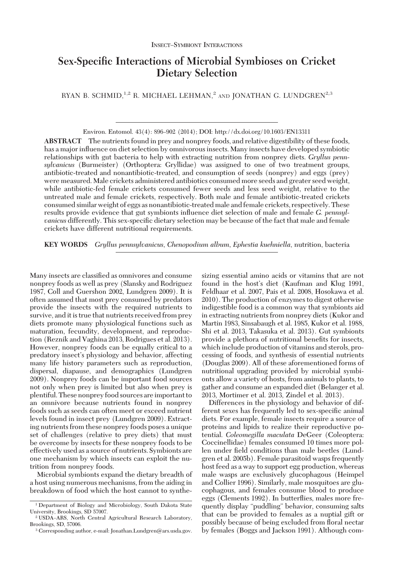# **Sex-Specific Interactions of Microbial Symbioses on Cricket Dietary Selection**

RYAN B. SCHMID,  $1,2$  R. MICHAEL LEHMAN,<sup>2</sup> AND JONATHAN G. LUNDGREN<sup>2,3</sup>

Environ. Entomol. 43(4): 896–902 (2014); DOI: http://dx.doi.org/10.1603/EN13311

**ABSTRACT** The nutrients found in prey and nonprey foods, and relative digestibility of these foods, has a major inßuence on diet selection by omnivorous insects. Many insects have developed symbiotic relationships with gut bacteria to help with extracting nutrition from nonprey diets. *Gryllus pennsylvanicus* (Burmeister) (Orthoptera: Gryllidae) was assigned to one of two treatment groups, antibiotic-treated and nonantibiotic-treated, and consumption of seeds (nonprey) and eggs (prey) were measured. Male crickets administered antibiotics consumed more seeds and greater seed weight, while antibiotic-fed female crickets consumed fewer seeds and less seed weight, relative to the untreated male and female crickets, respectively. Both male and female antibiotic-treated crickets consumed similar weight of eggs as nonantibiotic-treated male and female crickets, respectively. These results provide evidence that gut symbionts inßuence diet selection of male and female *G. pennsylvanicus* differently. This sex-specific dietary selection may be because of the fact that male and female crickets have different nutritional requirements.

**KEY WORDS** *Gryllus pennsylvanicus*, *Chenopodium album*, *Ephestia kuehniella*, nutrition, bacteria

Many insects are classified as omnivores and consume nonprey foods as well as prey (Slansky and Rodriguez 1987, Coll and Guershon 2002, Lundgren 2009). It is often assumed that most prey consumed by predators provide the insects with the required nutrients to survive, and it is true that nutrients received from prey diets promote many physiological functions such as maturation, fecundity, development, and reproduction (Reznik and Vaghina 2013, Rodrigues et al. 2013). However, nonprey foods can be equally critical to a predatory insect's physiology and behavior, affecting many life history parameters such as reproduction, dispersal, diapause, and demographics (Lundgren 2009). Nonprey foods can be important food sources not only when prey is limited but also when prey is plentiful. These nonprey food sources areimportant to an omnivore because nutrients found in nonprey foods such as seeds can often meet or exceed nutrient levels found in insect prey (Lundgren 2009). Extracting nutrients from these nonprey foods poses a unique set of challenges (relative to prey diets) that must be overcome by insects for these nonprey foods to be effectively used as a source of nutrients. Symbionts are one mechanism by which insects can exploit the nutrition from nonprey foods.

Microbial symbionts expand the dietary breadth of a host using numerous mechanisms, from the aiding in breakdown of food which the host cannot to synthesizing essential amino acids or vitamins that are not found in the host's diet (Kaufman and Klug 1991, Feldhaar et al. 2007, Pais et al. 2008, Hosokawa et al. 2010). The production of enzymes to digest otherwise indigestible food is a common way that symbionts aid in extracting nutrients from nonprey diets (Kukor and Martin 1983, Sinsabaugh et al. 1985, Kukor et al. 1988, Shi et al. 2013, Takasuka et al. 2013). Gut symbionts provide a plethora of nutritional benefits for insects, which include production of vitamins and sterols, processing of foods, and synthesis of essential nutrients (Douglas 2009). All of these aforementioned forms of nutritional upgrading provided by microbial symbionts allow a variety of hosts, from animals to plants, to gather and consume an expanded diet (Belanger et al. 2013, Mortimer et al. 2013, Zindel et al. 2013).

Differences in the physiology and behavior of different sexes has frequently led to sex-specific animal diets. For example, female insects require a source of proteins and lipids to realize their reproductive potential. *Coleomegilla maculata* DeGeer (Coleoptera: Coccinellidae) females consumed 10 times more pollen under field conditions than male beetles (Lundgren et al. 2005b). Female parasitoid wasps frequently host feed as a way to support egg production, whereas male wasps are exclusively glucophagous (Heimpel and Collier 1996). Similarly, male mosquitoes are glucophagous, and females consume blood to produce eggs (Clements 1992). In butterßies, males more frequently display "puddling" behavior, consuming salts that can be provided to females as a nuptial gift or possibly because of being excluded from ßoral nectar by females (Boggs and Jackson 1991). Although com-

<sup>1</sup> Department of Biology and Microbiology, South Dakota State University, Brookings, SD 57007.

<sup>&</sup>lt;sup>2</sup> USDA-ARS, North Central Agricultural Research Laboratory, Brookings, SD, 57006.

<sup>3</sup> Corresponding author, e-mail: Jonathan.Lundgren@ars.usda.gov.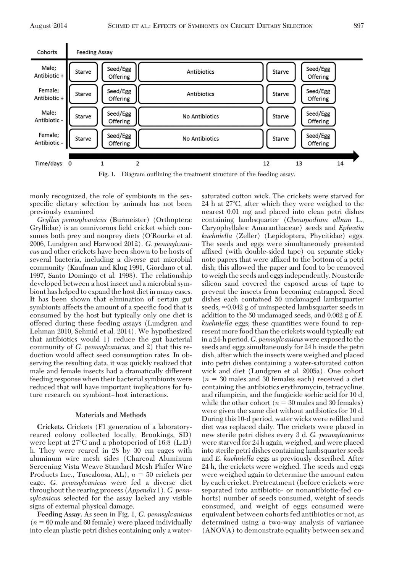

**Fig. 1.** Diagram outlining the treatment structure of the feeding assay.

monly recognized, the role of symbionts in the sexspecific dietary selection by animals has not been previously examined.

*Gryllus pennsylvanicus* (Burmeister) (Orthoptera: Gryllidae) is an omnivorous field cricket which consumes both prey and nonprey diets (O'Rourke et al. 2006, Lundgren and Harwood 2012). *G. pennsylvanicus* and other crickets have been shown to be hosts of several bacteria, including a diverse gut microbial community (Kaufman and Klug 1991, Giordano et al. 1997, Santo Domingo et al. 1998). The relationship developed between a host insect and a microbial symbiont has helped to expand the host diet in many cases. It has been shown that elimination of certain gut symbionts affects the amount of a specific food that is consumed by the host but typically only one diet is offered during these feeding assays (Lundgren and Lehman 2010, Schmid et al. 2014). We hypothesized that antibiotics would 1) reduce the gut bacterial community of *G. pennsylvanicus,* and 2) that this reduction would affect seed consumption rates. In observing the resulting data, it was quickly realized that male and female insects had a dramatically different feeding response when their bacterial symbionts were reduced that will have important implications for future research on symbiont-host interactions.

### **Materials and Methods**

**Crickets.** Crickets (F1 generation of a laboratoryreared colony collected locally, Brookings, SD) were kept at 27°C and a photoperiod of 16:8 (L:D) h. They were reared in 28 by 30 cm cages with aluminum wire mesh sides (Charcoal Aluminum Screening Vista Weave Standard Mesh Phifer Wire Products Inc., Tuscaloosa, AL),  $n = 50$  crickets per cage. *G. pennsylvanicus* were fed a diverse diet throughout the rearing process (*Appendix* 1). *G. pennsylvanicus* selected for the assay lacked any visible signs of external physical damage.

**Feeding Assay.** As seen in Fig. 1, *G. pennsylvanicus*  $(n = 60$  male and 60 female) were placed individually into clean plastic petri dishes containing only a watersaturated cotton wick. The crickets were starved for 24 h at 27-C, after which they were weighed to the nearest 0.01 mg and placed into clean petri dishes containing lambsquarter (*Chenopodium album* L., Caryophyllales: Amaranthaceae) seeds and *Ephestia kuehniella* (Zeller) (Lepidoptera, Phycitidae) eggs. The seeds and eggs were simultaneously presented affixed (with double-sided tape) on separate sticky note papers that were affixed to the bottom of a petri dish; this allowed the paper and food to be removed to weigh the seeds and eggs independently. Nonsterile silicon sand covered the exposed areas of tape to prevent the insects from becoming entrapped. Seed dishes each contained 50 undamaged lambsquarter seeds,  $\approx 0.042$  g of uninspected lambsquarter seeds in addition to the 50 undamaged seeds, and 0.062 g of *E. kuehniella* eggs; these quantities were found to represent more food than the crickets would typically eat in a 24-h period.*G. pennsylvanicus*were exposed to the seeds and eggs simultaneously for 24 h inside the petri dish, after which the insects were weighed and placed into petri dishes containing a water-saturated cotton wick and diet (Lundgren et al. 2005a). One cohort  $(n = 30 \text{ males and } 30 \text{ females each})$  received a diet containing the antibiotics erythromycin, tetracycline, and rifampicin, and the fungicide sorbic acid for 10 d, while the other cohort ( $n = 30$  males and 30 females) were given the same diet without antibiotics for 10 d. During this 10-d period, water wicks were refilled and diet was replaced daily. The crickets were placed in new sterile petri dishes every 3 d. *G. pennsylvanicus* were starved for 24 h again, weighed, and were placed into sterile petri dishes containing lambsquarter seeds and *E. kuehniella* eggs as previously described. After 24 h, the crickets were weighed. The seeds and eggs were weighed again to determine the amount eaten by each cricket. Pretreatment (before crickets were separated into antibiotic- or nonantibiotic-fed cohorts) number of seeds consumed, weight of seeds consumed, and weight of eggs consumed were equivalent between cohorts fed antibiotics or not, as determined using a two-way analysis of variance (ANOVA) to demonstrate equality between sex and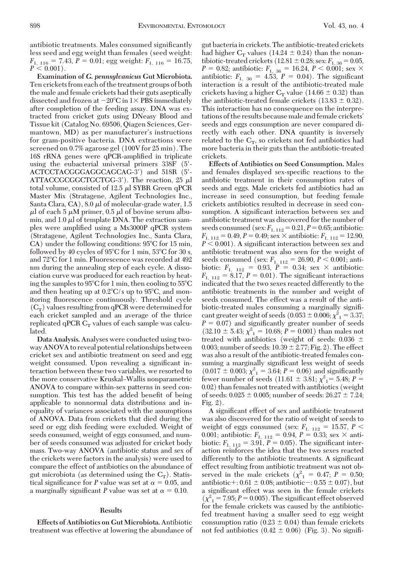antibiotic treatments. Males consumed significantly less seed and egg weight than females (seed weight:  $F_{1, 116} = 7.43, P = 0.01$ ; egg weight:  $F_{1, 116} = 16.75$ ,  $P \leq 0.001$ ).

**Examination of** *G. pennsylvanicus* **Gut Microbiota.** Ten crickets from each of the treatment groups of both the male and female crickets had their guts aseptically dissected and frozen at  $-20^{\circ}\text{C}$  in  $1\times$  PBS immediately after completion of the feeding assay. DNA was extracted from cricket guts using DNeasy Blood and Tissue kit (Catalog No. 69506, Qiagen Sciences, Germantown, MD) as per manufacturer's instructions for gram-positive bacteria. DNA extractions were screened on 0.7% agarose gel (100V for 25 min). The 16S rRNA genes were qPCR-amplified in triplicate using the eubacterial universal primers 338F (5- ACTCCTACGGGAGGCAGCAG-3) and 518R (5-  $\mathrm{ATTACCGCGCTGCTGG-3^{\prime}}$ ). The reaction, 25  $\mu\mathrm{l}$ total volume, consisted of 12.5  $\mu$ l SYBR Green qPCR Master Mix (Stratagene, Agilent Technologies Inc., Santa Clara, CA), 8.0  $\mu$ l of molecular-grade water, 1.5  $\mu$ l of each 5  $\mu$ M primer, 0.5  $\mu$ l of bovine serum albumin, and  $1.0 \mu$  of template DNA. The extraction samples were amplified using a Mx3000P qPCR system (Stratagene, Agilent Technologies Inc., Santa Clara,  $CA)$  under the following conditions:  $95^{\circ}$ C for 15 min, followed by 40 cycles of 95°C for 1 min, 53°C for 30 s, and 72°C for 1 min. Fluorescence was recorded at 492 nm during the annealing step of each cycle. A dissociation curve was produced for each reaction by heating the samples to 95°C for 1 min, then cooling to 55°C and then heating up at  $0.2^{\circ}$ C/s up to 95 $^{\circ}$ C, and monitoring ßuorescence continuously. Threshold cycle  $(C_T)$  values resulting from qPCR were determined for each cricket sampled and an average of the thrice replicated qPCR  $C_T$  values of each sample was calculated.

**Data Analysis.** Analyses were conducted using twoway ANOVA to reveal potential relationships between cricket sex and antibiotic treatment on seed and egg weight consumed. Upon revealing a significant interaction between these two variables, we resorted to the more conservative Kruskal–Wallis nonparametric ANOVA to compare within-sex patterns in seed consumption. This test has the added benefit of being applicable to nonnormal data distributions and inequality of variances associated with the assumptions of ANOVA. Data from crickets that died during the seed or egg dish feeding were excluded. Weight of seeds consumed, weight of eggs consumed, and number of seeds consumed was adjusted for cricket body mass. Two-way ANOVA (antibiotic status and sex of the crickets were factors in the analysis) were used to compare the effect of antibiotics on the abundance of gut microbiota (as determined using the  $C_T$ ). Statistical significance for *P* value was set at  $\alpha = 0.05$ , and a marginally significant *P* value was set at  $\alpha = 0.10$ .

## **Results**

**Effects of Antibiotics on Gut Microbiota.** Antibiotic treatment was effective at lowering the abundance of

gut bacteria in crickets. The antibiotic-treated crickets had higher  $C_T$  values (14.24  $\pm$  0.24) than the nonantibiotic-treated crickets (12.81  $\pm$  0.28; sex:  $F_{1, 36} = 0.05$ ,  $P = 0.82$ ; antibiotic:  $F_{1, 36} = 16.24, P < 0.001$ ; sex  $\times$ antibiotic:  $F_{1, 36} = 4.53, P = 0.04$ . The significant interaction is a result of the antibiotic-treated male crickets having a higher  $C_T$  value (14.66  $\pm$  0.32) than the antibiotic-treated female crickets  $(13.83 \pm 0.32)$ . This interaction has no consequence on the interpretations of the results because male and female crickets' seeds and eggs consumption are never compared directly with each other. DNA quantity is inversely related to the  $C_T$ , so crickets not fed antibiotics had more bacteria in their guts than the antibiotic-treated crickets.

**Effects of Antibiotics on Seed Consumption.** Males and females displayed sex-specific reactions to the antibiotic treatment in their consumption rates of seeds and eggs. Male crickets fed antibiotics had an increase in seed consumption, but feeding female crickets antibiotics resulted in decrease in seed consumption. A significant interaction between sex and antibiotic treatment was discovered for the number of seeds consumed (sex:  $F_{1, 112} = 0.21, P = 0.65$ ; antibiotic:  $F_{1, 112} = 0.49, P = 0.49$ ; sex  $\times$  antibiotic:  $F_{1, 112} = 12.90$ ,  $P < 0.001$ ). A significant interaction between sex and antibiotic treatment was also seen for the weight of seeds consumed (sex:  $F_{1, 112} = 26.90, P \le 0.001$ ; antibiotic:  $F_{1, 112} = 0.93, P = 0.34$ ; sex  $\times$  antibiotic:  $F_{1, 112} = 8.17, P = 0.01$ . The significant interactions indicated that the two sexes reacted differently to the antibiotic treatments in the number and weight of seeds consumed. The effect was a result of the antibiotic-treated males consuming a marginally signiÞcant greater weight of seeds  $(0.053 \pm 0.006; \chi^2_{11} = 3.37;$  $P = 0.07$ ) and significantly greater number of seeds  $(32.10 \pm 5.43; \chi^2) = 10.68; P = 0.001$ ) than males not treated with antibiotics (weight of seeds: 0.036 0.003; number of seeds:  $10.39 \pm 2.77$ ; Fig. 2). The effect was also a result of the antibiotic-treated females consuming a marginally significant less weight of seeds  $(0.017 \pm 0.003; \chi^2_{11} = 3.64; P = 0.06)$  and significantly fewer number of seeds (11.61  $\pm$  3.81;  $\chi^2$ <sub>1</sub> = 5.48; *P* = 0.02) than females not treated with antibiotics (weight of seeds:  $0.025 \pm 0.005$ ; number of seeds:  $26.27 \pm 7.24$ ; Fig. 2).

A significant effect of sex and antibiotic treatment was also discovered for the ratio of weight of seeds to weight of eggs consumed (sex:  $F_{1, 112} = 15.57, P \leq$ 0.001; antibiotic:  $F_{1, 112} = 0.94, P = 0.33$ ; sex  $\times$  antibiotic:  $F_{1, 112} = 3.91, P = 0.05$ . The significant interaction reinforces the idea that the two sexes reacted differently to the antibiotic treatments. A significant effect resulting from antibiotic treatment was not observed in the male crickets ( $\chi^2$ <sub>1</sub> = 0.47; *P* = 0.50; antibiotic + : 0.61  $\pm$  0.08; antibiotic - : 0.55  $\pm$  0.07), but a significant effect was seen in the female crickets  $(\chi^2)^2 = 7.95; P = 0.005$ . The significant effect observed for the female crickets was caused by the antibioticfed treatment having a smaller seed to egg weight consumption ratio (0.23  $\pm$  0.04) than female crickets not fed antibiotics  $(0.42 \pm 0.06)$  (Fig. 3). No signifi-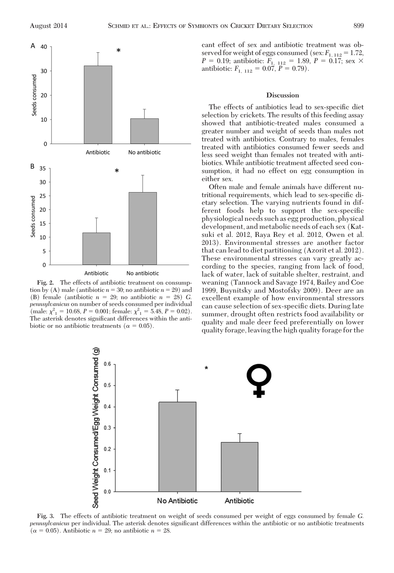

**Fig. 2.** The effects of antibiotic treatment on consumption by (A) male (antibiotic  $n = 30$ ; no antibiotic  $n = 29$ ) and (B) female (antibiotic  $n = 29$ ; no antibiotic  $n = 28$ ) *G*. *pennsylvanicus* on number of seeds consumed per individual (male:  $\chi^2_{1} = 10.68$ ,  $P = 0.001$ ; female:  $\chi^2_{1} = 5.48$ ,  $P = 0.02$ ). The asterisk denotes significant differences within the antibiotic or no antibiotic treatments ( $\alpha = 0.05$ ).

cant effect of sex and antibiotic treatment was observed for weight of eggs consumed (sex:  $F_{1, 112} = 1.72$ ,  $P = 0.19$ ; antibiotic:  $F_{1, 112} = 1.89, P = 0.17$ ; sex  $\times$ antibiotic:  $F_{1, 112} = 0.07, P = 0.79$ .

# **Discussion**

The effects of antibiotics lead to sex-specific diet selection by crickets. The results of this feeding assay showed that antibiotic-treated males consumed a greater number and weight of seeds than males not treated with antibiotics. Contrary to males, females treated with antibiotics consumed fewer seeds and less seed weight than females not treated with antibiotics. While antibiotic treatment affected seed consumption, it had no effect on egg consumption in either sex.

Often male and female animals have different nutritional requirements, which lead to sex-specific dietary selection. The varying nutrients found in different foods help to support the sex-specific physiological needs such as egg production, physical development, and metabolic needs of each sex (Katsuki et al. 2012, Raya Rey et al. 2012, Owen et al. 2013). Environmental stresses are another factor that can lead to diet partitioning (Azorit et al. 2012). These environmental stresses can vary greatly according to the species, ranging from lack of food, lack of water, lack of suitable shelter, restraint, and weaning (Tannock and Savage 1974, Bailey and Coe 1999, Buynitsky and Mostofsky 2009). Deer are an excellent example of how environmental stressors can cause selection of sex-specific diets. During late summer, drought often restricts food availability or quality and male deer feed preferentially on lower quality forage, leaving the high quality forage for the



**Fig. 3.** The effects of antibiotic treatment on weight of seeds consumed per weight of eggs consumed by female *G. pennsylvanicus* per individual. The asterisk denotes significant differences within the antibiotic or no antibiotic treatments  $(\alpha = 0.05)$ . Antibiotic  $n = 29$ ; no antibiotic  $n = 28$ .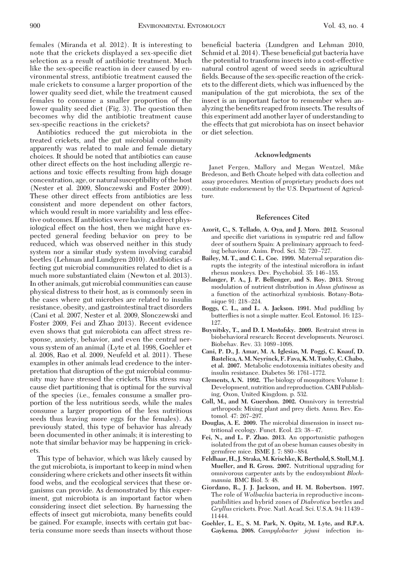females (Miranda et al. 2012). It is interesting to note that the crickets displayed a sex-specific diet selection as a result of antibiotic treatment. Much like the sex-specific reaction in deer caused by environmental stress, antibiotic treatment caused the male crickets to consume a larger proportion of the lower quality seed diet, while the treatment caused females to consume a smaller proportion of the lower quality seed diet (Fig. 3). The question then becomes why did the antibiotic treatment cause sex-specific reactions in the crickets?

Antibiotics reduced the gut microbiota in the treated crickets, and the gut microbial community apparently was related to male and female dietary choices. It should be noted that antibiotics can cause other direct effects on the host including allergic reactions and toxic effects resulting from high dosage concentration, age, or natural susceptibility of the host (Nester et al. 2009, Slonczewski and Foster 2009). These other direct effects from antibiotics are less consistent and more dependent on other factors, which would result in more variability and less effective outcomes. If antibiotics were having a direct physiological effect on the host, then we might have expected general feeding behavior on prey to be reduced, which was observed neither in this study system nor a similar study system involving carabid beetles (Lehman and Lundgren 2010). Antibiotics affecting gut microbial communities related to diet is a much more substantiated claim (Newton et al. 2013). In other animals, gut microbial communities can cause physical distress to their host, as is commonly seen in the cases where gut microbes are related to insulin resistance, obesity, and gastrointestinal tract disorders (Cani et al. 2007, Nester et al. 2009, Slonczewski and Foster 2009, Fei and Zhao 2013). Recent evidence even shows that gut microbiota can affect stress response, anxiety, behavior, and even the central nervous system of an animal (Lyte et al. 1998, Goehler et al. 2008, Rao et al. 2009, Neufeld et al. 2011). These examples in other animals lead credence to the interpretation that disruption of the gut microbial community may have stressed the crickets. This stress may cause diet partitioning that is optimal for the survival of the species (i.e., females consume a smaller proportion of the less nutritious seeds, while the males consume a larger proportion of the less nutritious seeds thus leaving more eggs for the females). As previously stated, this type of behavior has already been documented in other animals; it is interesting to note that similar behavior may be happening in crickets.

This type of behavior, which was likely caused by the gut microbiota, is important to keep in mind when considering where crickets and other insects fit within food webs, and the ecological services that these organisms can provide. As demonstrated by this experiment, gut microbiota is an important factor when considering insect diet selection. By harnessing the effects of insect gut microbiota, many benefits could be gained. For example, insects with certain gut bacteria consume more seeds than insects without those beneficial bacteria (Lundgren and Lehman 2010, Schmid et al. 2014). These beneficial gut bacteria have the potential to transform insects into a cost-effective natural control agent of weed seeds in agricultural fields. Because of the sex-specific reaction of the crickets to the different diets, which was inßuenced by the manipulation of the gut microbiota, the sex of the insect is an important factor to remember when analyzing the benefits reaped from insects. The results of this experiment add another layer of understanding to the effects that gut microbiota has on insect behavior or diet selection.

#### **Acknowledgments**

Janet Fergen, Mallory and Megan Wentzel, Mike Bredeson, and Beth Choate helped with data collection and assay procedures. Mention of proprietary products does not constitute endorsement by the U.S. Department of Agriculture.

#### **References Cited**

- **Azorit, C., S. Tellado, A. Oya, and J. Moro. 2012.** Seasonal and specific diet variations in sympatric red and fallow deer of southern Spain: A preliminary approach to feeding behaviour. Anim. Prod. Sci. 52: 720-727.
- **Bailey, M. T., and C. L. Coe. 1999.** Maternal separation disrupts the integrity of the intestinal microßora in infant rhesus monkeys. Dev. Psychobiol. 35: 146-155.
- **Belanger, P. A., J. P. Bellenger, and S. Roy. 2013.** Strong modulation of nutrient distribution in *Alnus glutinosa* as a function of the actinorhizal symbiosis. Botany-Botanique 91: 218-224.
- **Boggs, C. L., and L. A. Jackson. 1991.** Mud puddling by butterflies is not a simple matter. Ecol. Entomol. 16: 123– 127.
- **Buynitsky, T., and D. I. Mostofsky. 2009.** Restraint stress in biobehavioral research: Recent developments. Neurosci. Biobehav. Rev. 33: 1089-1098.
- **Cani, P. D., J. Amar, M. A. Iglesias, M. Poggi, C. Knauf, D. Bastelica, A.M. Neyrinck, F. Fava, K.M. Tuohy, C. Chabo, et al. 2007.** Metabolic endotoxemia initiates obesity and insulin resistance. Diabetes 56: 1761-1772.
- **Clements, A. N. 1992.** The biology of mosquitoes: Volume 1: Development, nutrition and reproduction. CABI Publishing, Oxon, United Kingdom. p. 532.
- **Coll, M., and M. Guershon. 2002.** Omnivory in terrestrial arthropods: Mixing plant and prey diets. Annu. Rev. Entomol. 47: 267-297.
- **Douglas, A. E. 2009.** The microbial dimension in insect nutritional ecology. Funct. Ecol. 23: 38-47.
- **Fei, N., and L. P. Zhao. 2013.** An opportunistic pathogen isolated from the gut of an obese human causes obesity in germfree mice. ISME J. 7: 880-884.
- **Feldhaar, H., J. Straka,M. Krischke, K. Berthold, S. Stoll,M. J. Mueller, and R. Gross. 2007.** Nutritional upgrading for omnivorous carpenter ants by the endosymbiont *Blochmannia.* BMC Biol. 5: 48.
- **Giordano, R., J. J. Jackson, and H. M. Robertson. 1997.** The role of *Wolbachia* bacteria in reproductive incompatibilities and hybrid zones of *Diabrotica* beetles and *Gryllus* crickets. Proc. Natl. Acad. Sci. U.S.A. 94: 11439 -11444.
- **Goehler, L. E., S. M. Park, N. Opitz, M. Lyte, and R.P.A. Gaykema. 2008.** *Campylobacter jejuni* infection in-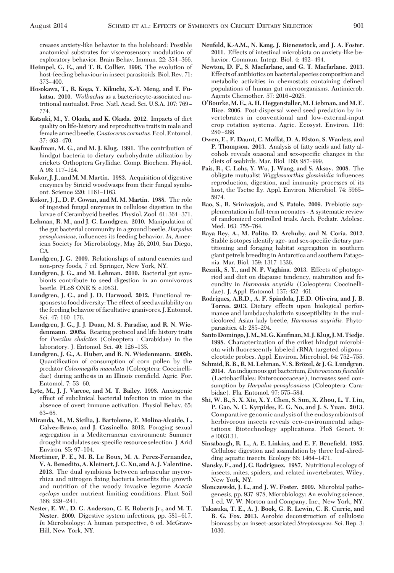creases anxiety-like behavior in the holeboard: Possible anatomical substrates for viscerosensory modulation of exploratory behavior. Brain Behav. Immun. 22: 354-366.

- **Heimpel, G. E., and T. R. Collier. 1996.** The evolution of host-feeding behaviour in insect parasitoids. Biol. Rev. 71:  $373 - 400$ .
- **Hosokawa, T., R. Koga, Y. Kikuchi, X.-Y. Meng, and T. Fukatsu. 2010.** *Wolbachia* as a bacteriocyte-associated nutritional mutualist. Proc. Natl. Acad. Sci. U.S.A. 107: 769-774.
- **Katsuki, M., Y. Okada, and K. Okada. 2012.** Impacts of diet quality on life-history and reproductive traits in male and female armed beetle, *Gnatocerus cornutus.*Ecol. Entomol. 37: 463-470.
- **Kaufman, M. G., and M. J. Klug. 1991.** The contribution of hindgut bacteria to dietary carbohydrate utilization by crickets Orthoptera Gryllidae. Comp. Biochem. Physiol. A 98: 117-124.
- **Kukor, J. J., and M. M. Martin. 1983.** Acquisition of digestive enzymes by Siricid woodwasps from their fungal symbiont. Science 220: 1161-1163.
- **Kukor, J. J., D. P. Cowan, and M. M. Martin. 1988.** The role of ingested fungal enzymes in cellulose digestion in the larvae of Cerambycid beetles. Physiol. Zool. 61: 364-371.
- **Lehman, R. M., and J. G. Lundgren. 2010.** Manipulation of the gut bacterial community in a ground beetle, *Harpalus pensylvanicus,* inßuences its feeding behavior. *In,* American Society for Microbiology, May 26, 2010, San Diego, CA.
- **Lundgren, J. G. 2009.** Relationships of natural enemies and non-prey foods, 7 ed. Springer, New York, NY.
- **Lundgren, J. G., and M. Lehman. 2010.** Bacterial gut symbionts contribute to seed digestion in an omnivorous beetle. PLoS ONE 5: e10831.
- **Lundgren, J. G., and J. D. Harwood. 2012.** Functional responses to food diversity: The effect of seed availability on the feeding behavior of facultative granivores. J. Entomol. Sci. 47: 160-176.
- **Lundgren, J. G., J. J. Duan, M. S. Paradise, and R. N. Wiedenmann. 2005a.** Rearing protocol and life history traits for *Poecilus chalcites* (Coleoptera : Carabidae) in the laboratory. J. Entomol. Sci. 40: 126-135.
- **Lundgren, J. G., A. Huber, and R. N. Wiedenmann. 2005b.** Quantification of consumption of corn pollen by the predator *Coleomegilla maculata* (Coleoptera: Coccinellidae) during anthesis in an Illinois cornfield. Agric. For. Entomol. 7: 53-60.
- **Lyte, M., J. J. Varcoe, and M. T. Bailey. 1998.** Anxiogenic effect of subclinical bacterial infection in mice in the absence of overt immune activation. Physiol Behav. 65: 63-68.
- **Miranda, M., M. Sicilia, J. Bartolome, E. Molina-Alcaide, L. Galvez-Bravo, and J. Cassinello. 2012.** Foraging sexual segregation in a Mediterranean environment: Summer drought modulates sex-specific resource selection. J. Arid Environ. 85: 97-104.
- **Mortimer, P. E., M. R. Le Roux, M. A. Perez-Fernandez, V. A. Benedito, A. Kleinert, J. C. Xu, and A. J. Valentine. 2013.** The dual symbiosis between arbuscular mycorrhiza and nitrogen fixing bacteria benefits the growth and nutrition of the woody invasive legume *Acacia cyclops* under nutrient limiting conditions. Plant Soil 366: 229-241.
- **Nester, E. W., D. G. Anderson, C. E. Roberts Jr., and M. T.** Nester. 2009. Digestive system infections, pp. 581-617. In Microbiology: A human perspective, 6 ed. McGraw-Hill, New York, NY.
- **Neufeld, K.-A.M., N. Kang, J. Bienenstock, and J. A. Foster. 2011.** Effects of intestinal microbiota on anxiety-like behavior. Commun. Integr. Biol. 4: 492-494.
- **Newton, D. F., S. Macfarlane, and G. T. Macfarlane. 2013.** Effects of antibiotics on bacterial species composition and metabolic activities in chemostats containing defined populations of human gut microorganisms. Antimicrob. Agents Chemother. 57: 2016-2025.
- **O'Rourke, M. E., A. H. Heggenstaller, M. Liebman, and M. E. Rice. 2006.** Post-dispersal weed seed predation by invertebrates in conventional and low-external-input crop rotation systems. Agric. Ecosyst. Environ. 116: 280 Ð288.
- **Owen, E., F. Daunt, C. Moffat, D. A. Elston, S. Wanless, and P. Thompson. 2013.** Analysis of fatty acids and fatty alcohols reveals seasonal and sex-specific changes in the diets of seabirds. Mar. Biol. 160: 987-999.
- **Pais, R., C. Lohs, Y. Wu, J. Wang, and S. Aksoy. 2008.** The obligate mutualist *Wigglesworthia glossinidia* inßuences reproduction, digestion, and immunity processes of its host, the Tsetse fly. Appl. Environ. Microbiol. 74: 5965– 5974.
- **Rao, S., R. Srinivasjois, and S. Patole. 2009.** Prebiotic supplementation in full-term neonates - A systematic review of randomized controlled trials. Arch. Pediatr. Adolesc. Med. 163: 755–764.
- **Raya Rey, A., M. Polito, D. Archuby, and N. Coria. 2012.** Stable isotopes identify age- and sex-specific dietary partitioning and foraging habitat segregation in southern giant petrels breeding in Antarctica and southern Patagonia. Mar. Biol. 159: 1317-1326.
- **Reznik, S. Y., and N. P. Vaghina. 2013.** Effects of photoperiod and diet on diapause tendency, maturation and fecundity in *Harmonia axyridis* (Coleoptera: Coccinellidae). J. Appl. Entomol. 137: 452–461.
- **Rodrigues, A.R.D., A. F. Spindola, J.E.D. Oliveira, and J. B. Torres. 2013.** Dietary effects upon biological performance and lambdacyhalothrin susceptibility in the multicolored Asian lady beetle, *Harmonia axyridis.* Phytoparasitica 41: 285-294.
- **SantoDomingo, J.M.,M. G. Kaufman,M. J. Klug, J.M. Tiedje. 1998.** Characterization of the criket hindgut microbiota with ßuorescently labeled rRNA-targeted oligonucleotide probes. Appl. Environ. Microbiol. 64: 752-755.
- **Schmid, R. B., R. M. Lehman, V. S. Bro¨zel, & J. G. Lundgren. 2014.** Anindigenous gut bacterium,*Enterococcus faecalils* (Lactobacillales: Enterococcaceae), increases seed consumption by *Harpalus pensylvanicus* (Coleoptera: Carabidae). Fla. Entomol. 97: 575-584.
- **Shi, W. B., S. X. Xie, X. Y. Chen, S. Sun, X. Zhou, L. T. Liu, P. Gao, N. C. Kyrpides, E. G. No, and J. S. Yuan. 2013.** Comparative genomic analysis of the endosymbionts of herbivorous insects reveals eco-environmental adaptations: Biotechnology applications. PloS Genet. 9: e1003131.
- **Sinsabaugh, R. L., A. E. Linkins, and E. F. Benefield. 1985.** Cellulose digestion and assimilation by three leaf-shredding aquatic insects. Ecology  $66: 1464 - 1471$ .
- **Slansky, F., and J. G. Rodriguez. 1987.** Nutritional ecology of insects, mites, spiders, and related invertebrates, Wiley, New York, NY.
- **Slonczewski, J. L., and J. W. Foster. 2009.** Microbial pathogenesis, pp. 937-978, Microbiology: An evolving science, 1 ed. W. W. Norton and Company, Inc., New York, NY.
- **Takasuka, T. E., A. J. Book, G. R. Lewin, C. R. Currie, and B. G. Fox. 2013.** Aerobic deconstruction of cellulosic biomass by an insect-associated *Streptomyces.* Sci. Rep. 3: 1030.